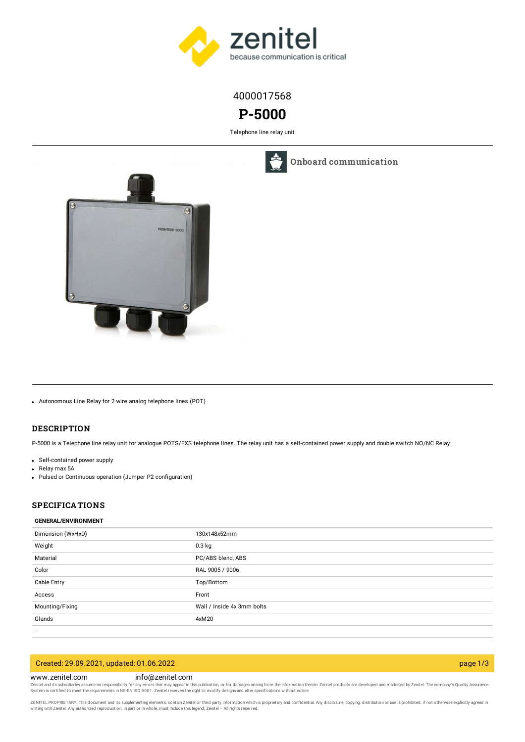

4000017568

# **P-5000**

Telephone line relay unit

**Onboard [communication](https://www.zenitel.com/technology/radio/onboard-communication)**



Autonomous Line Relay for 2 wire analog telephone lines (POT)

## **DESCRIPTION**

P-5000 is a Telephone line relay unit for analogue POTS/FXS telephone lines. The relay unit has a self-contained power supply and double switch NO/NC Relay

- Self-contained power supply
- Relay max 5A
- Pulsed or Continuous operation (Jumper P2 configuration)

### **SPECIFICATIONS**

#### **GENERAL/ENVIRONMENT**

| Dimension (WxHxD)        | 130x148x52mm               |
|--------------------------|----------------------------|
| Weight                   | $0.3$ kg                   |
| Material                 | PC/ABS blend, ABS          |
| Color                    | RAL 9005 / 9006            |
| Cable Entry              | Top/Bottom                 |
| Access                   | Front                      |
| Mounting/Fixing          | Wall / Inside 4x 3mm bolts |
| Glands                   | 4xM20                      |
| $\overline{\phantom{a}}$ |                            |

# Created: 29.09.2021, updated: 01.06.2022 page 1/3

### www.zenitel.com info@zenitel.com

Zenitel and its subsidiaries assume no responsibility for any errors that may appear in this publication, or for damages arising from the information therein. Zenitel products are developed and marketed by Zenitel. The com

ZENITEL PROPRIETARY. This document and its supplementing elements, contain Zenitel or third party information which is proprietary and confidential. Any disclosure, copying, distribution or use is prohibited, if not otherw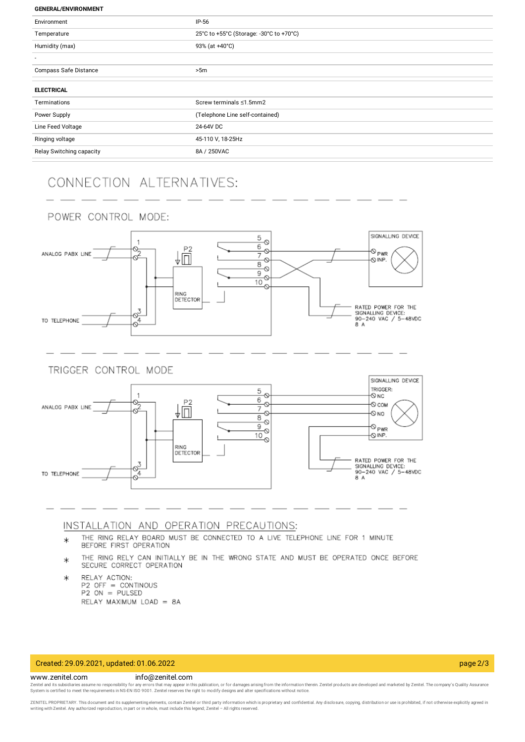#### **GENERAL/ENVIRONMENT**

| Environment              | $IP-56$                                 |
|--------------------------|-----------------------------------------|
| Temperature              | 25°C to +55°C (Storage: -30°C to +70°C) |
| Humidity (max)           | 93% (at +40°C)                          |
|                          |                                         |
| Compass Safe Distance    | >5m                                     |
| <b>ELECTRICAL</b>        |                                         |
| Terminations             | Screw terminals ≤1.5mm2                 |
| Power Supply             | (Telephone Line self-contained)         |
| Line Feed Voltage        | 24-64V DC                               |
| Ringing voltage          | 45-110 V, 18-25Hz                       |
| Relay Switching capacity | 8A / 250VAC                             |

# CONNECTION ALTERNATIVES:



# INSTALLATION AND OPERATION PRECAUTIONS:

- THE RING RELAY BOARD MUST BE CONNECTED TO A LIVE TELEPHONE LINE FOR 1 MINUTE  $\star$ BEFORE FIRST OPERATION
- THE RING RELY CAN INITIALLY BE IN THE WRONG STATE AND MUST BE OPERATED ONCE BEFORE<br>SECURE CORRECT OPERATION  $\ast$
- RELAY ACTION:<br>P2 OFF = CONTINOUS<br>P2 ON = PULSED  $\ast$ RELAY MAXIMUM LOAD = 8A

## Created: 29.09.2021, updated: 01.06.2022 page 2/3

### www.zenitel.com info@zenitel.com

Zenitel and its subsidiaries assume no responsibility for any errors that may appear in this publication, or for damages arising from the information therein. Zenitel products are developed and marketed by Zenitel. The com

ZENITEL PROPRIETARY. This document and its supplementing elements, contain Zenitel or third party information which is proprietary and confidential. Any disclosure, copying, distribution or use is prohibited, if not otherw